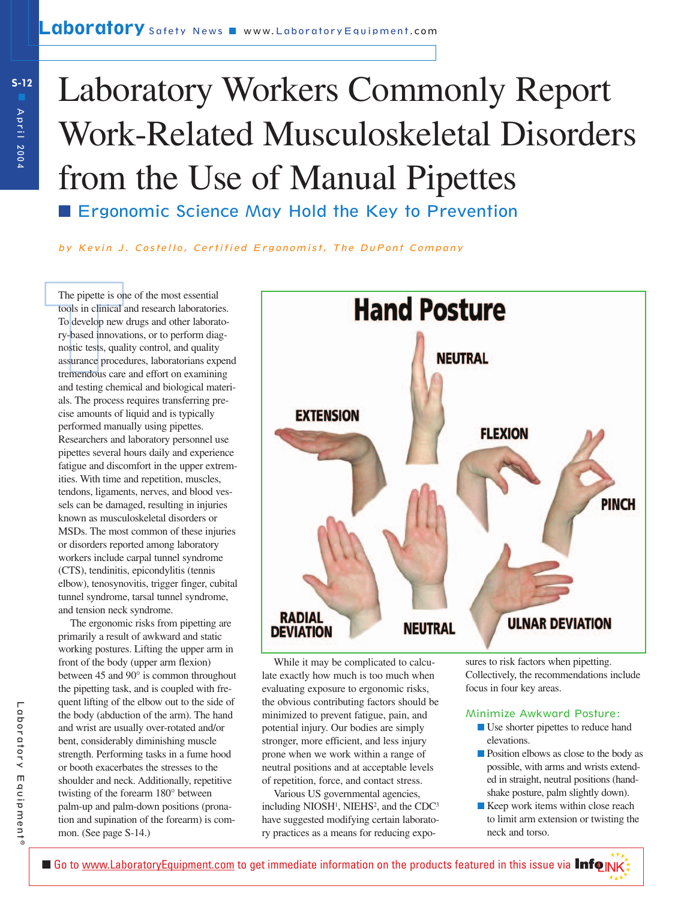# Laboratory Workers Commonly Report Work-Related Musculoskeletal Disorders from the Use of Manual Pipettes

■ Ergonomic Science May Hold the Key to Prevention

by Kevin J. Costello, Certified Ergonomist, The DuPont Company

The pipette is or<br>tools in clinical a<br>To develop new<br>ry-based innovat<br>nostic tests, qual<br>assurance proced<br>tremendous care<br>and testing chen The pipette is one of the most essential tools in clinical and research laboratories. To develop new drugs and other laboratory-based innovations, or to perform diagnostic tests, quality control, and quality assurance procedures, laboratorians expend tremendous care and effort on examining and testing chemical and biological materials. The process requires transferring precise amounts of liquid and is typically performed manually using pipettes. Researchers and laboratory personnel use pipettes several hours daily and experience fatigue and discomfort in the upper extremities. With time and repetition, muscles, tendons, ligaments, nerves, and blood vessels can be damaged, resulting in injuries known as musculoskeletal disorders or MSDs. The most common of these injuries or disorders reported among laboratory workers include carpal tunnel syndrome (CTS), tendinitis, epicondylitis (tennis elbow), tenosynovitis, trigger finger, cubital tunnel syndrome, tarsal tunnel syndrome, and tension neck syndrome.

The ergonomic risks from pipetting are primarily a result of awkward and static working postures. Lifting the upper arm in front of the body (upper arm flexion) between 45 and 90° is common throughout the pipetting task, and is coupled with frequent lifting of the elbow out to the side of the body (abduction of the arm). The hand and wrist are usually over-rotated and/or bent, considerably diminishing muscle strength. Performing tasks in a fume hood or booth exacerbates the stresses to the shoulder and neck. Additionally, repetitive twisting of the forearm 180° between palm-up and palm-down positions (pronation and supination of the forearm) is common. (See page S-14.)



While it may be complicated to calculate exactly how much is too much when evaluating exposure to ergonomic risks, the obvious contributing factors should be minimized to prevent fatigue, pain, and potential injury. Our bodies are simply stronger, more efficient, and less injury prone when we work within a range of neutral positions and at acceptable levels of repetition, force, and contact stress.

Various US governmental agencies, including  $NIOSH<sup>1</sup>$ ,  $NIEHS<sup>2</sup>$ , and the  $CDC<sup>3</sup>$ have suggested modifying certain laboratory practices as a means for reducing exposures to risk factors when pipetting. Collectively, the recommendations include focus in four key areas.

### Minimize Awkward Posture:

- Use shorter pipettes to reduce hand elevations.
- Position elbows as close to the body as possible, with arms and wrists extended in straight, neutral positions (handshake posture, palm slightly down).
- Keep work items within close reach to limit arm extension or twisting the neck and torso.

▼▼▼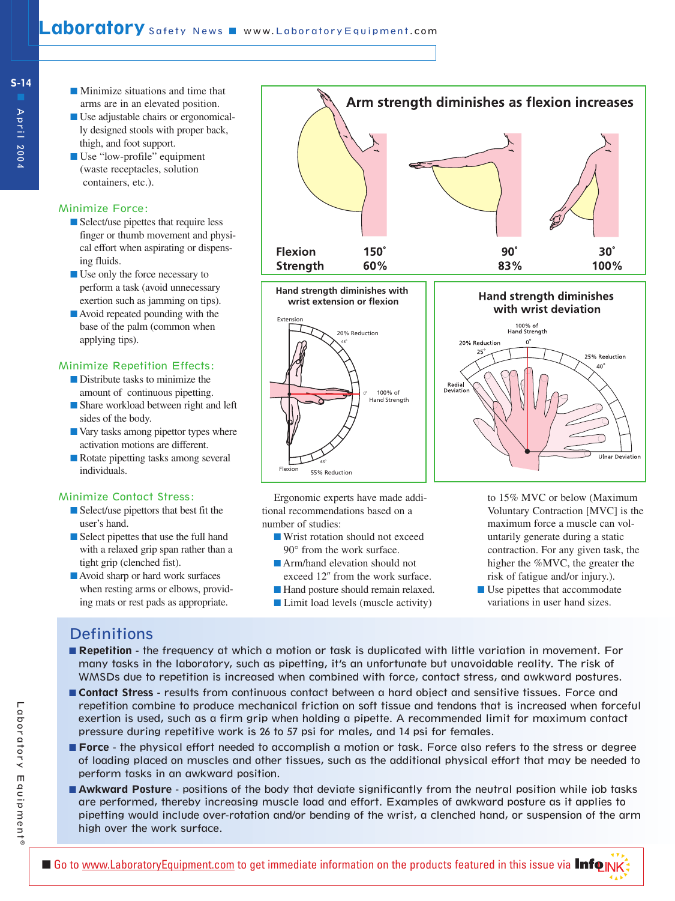- Minimize situations and time that arms are in an elevated position.
- Use adjustable chairs or ergonomically designed stools with proper back, thigh, and foot support.
- Use "low-profile" equipment (waste receptacles, solution containers, etc.).

# Minimize Force:

- Select/use pipettes that require less finger or thumb movement and physical effort when aspirating or dispensing fluids.
- Use only the force necessary to perform a task (avoid unnecessary exertion such as jamming on tips).
- Avoid repeated pounding with the base of the palm (common when applying tips).

## Minimize Repetition Effects:

- Distribute tasks to minimize the amount of continuous pipetting.
- Share workload between right and left sides of the body.
- Vary tasks among pipettor types where activation motions are different.
- Rotate pipetting tasks among several individuals.

### Minimize Contact Stress:

- Select/use pipettors that best fit the user's hand.
- Select pipettes that use the full hand with a relaxed grip span rather than a tight grip (clenched fist).
- Avoid sharp or hard work surfaces when resting arms or elbows, providing mats or rest pads as appropriate.





Ergonomic experts have made additional recommendations based on a number of studies:

- Wrist rotation should not exceed 90° from the work surface.
- Arm/hand elevation should not
- exceed 12" from the work surface.
- Hand posture should remain relaxed.
- Limit load levels (muscle activity)



to 15% MVC or below (Maximum Voluntary Contraction [MVC] is the maximum force a muscle can voluntarily generate during a static contraction. For any given task, the higher the %MVC, the greater the risk of fatigue and/or injury.).

▼▼▼

■ Use pipettes that accommodate variations in user hand sizes.

# **Definitions**

- **Repetition** the frequency at which a motion or task is duplicated with little variation in movement. For many tasks in the laboratory, such as pipetting, it's an unfortunate but unavoidable reality. The risk of WMSDs due to repetition is increased when combined with force, contact stress, and awkward postures.
- **Contact Stress** results from continuous contact between a hard object and sensitive tissues. Force and repetition combine to produce mechanical friction on soft tissue and tendons that is increased when forceful exertion is used, such as a firm grip when holding a pipette. A recommended limit for maximum contact pressure during repetitive work is 26 to 57 psi for males, and 14 psi for females.
- **Force** the physical effort needed to accomplish a motion or task. Force also refers to the stress or degree of loading placed on muscles and other tissues, such as the additional physical effort that may be needed to perform tasks in an awkward position.
- **Awkward Posture** positions of the body that deviate significantly from the neutral position while job tasks are performed, thereby increasing muscle load and effort. Examples of awkward posture as it applies to pipetting would include over-rotation and/or bending of the wrist, a clenched hand, or suspension of the arm high over the work surface.

**S-14**

April 2004